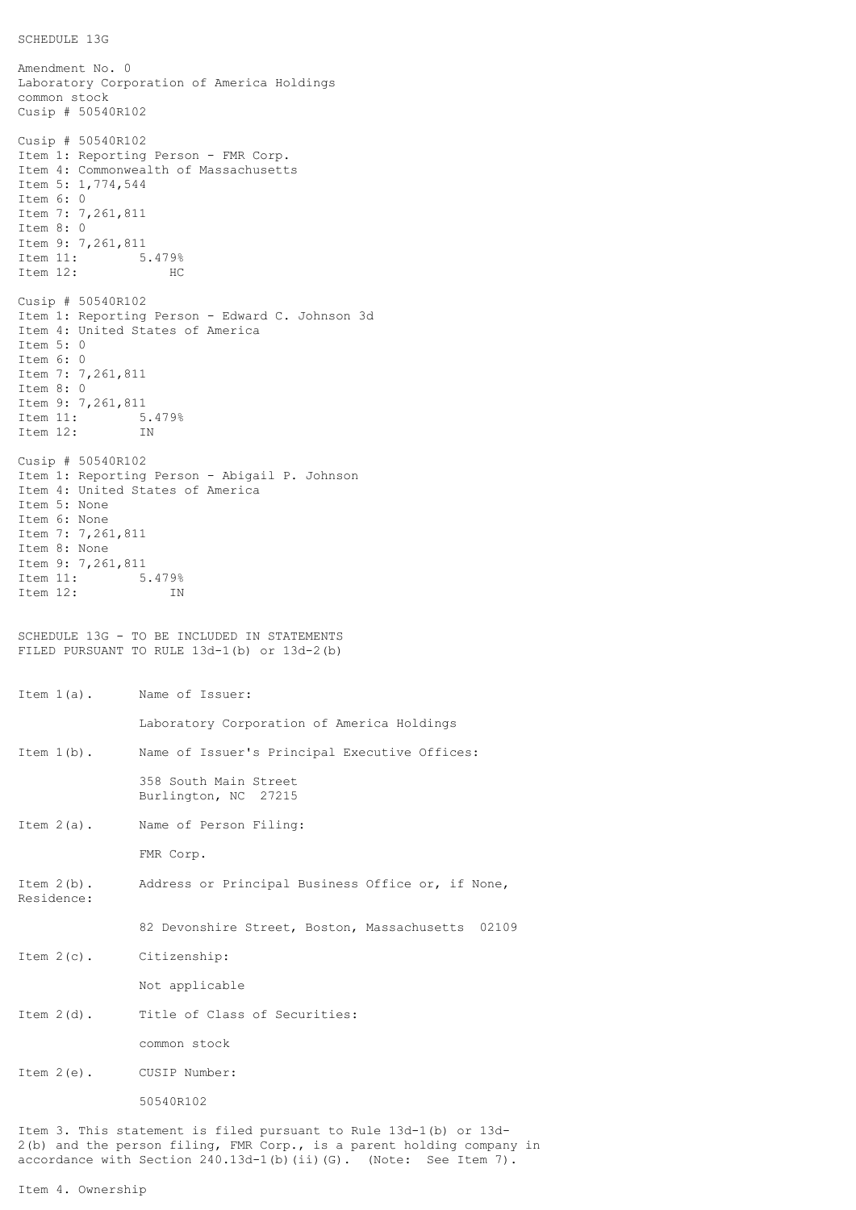```
SCHEDULE 13G
```
Amendment No. 0 Laboratory Corporation of America Holdings common stock Cusip # 50540R102 Cusip # 50540R102 Item 1: Reporting Person - FMR Corp. Item 4: Commonwealth of Massachusetts Item 5: 1,774,544 Item 6: 0 Item 7: 7,261,811 Item 8: 0 Item 9: 7,261,811<br>Item 11: 5 5.479% Item 12: HC Cusip # 50540R102 Item 1: Reporting Person - Edward C. Johnson 3d Item 4: United States of America Item 5: 0 Item 6: 0 Item 7: 7,261,811 Item 8: 0 Item 9: 7,261,811<br>Item 11: 5 5.479%<br>IN Item 12: Cusip # 50540R102 Item 1: Reporting Person - Abigail P. Johnson Item 4: United States of America Item 5: None Item 6: None Item 7: 7,261,811 Item 8: None Item 9: 7,261,811 Item 11: 5.479%<br>Item 12: IN Item  $12:$ SCHEDULE 13G - TO BE INCLUDED IN STATEMENTS FILED PURSUANT TO RULE 13d-1(b) or 13d-2(b) Item 1(a). Name of Issuer: Laboratory Corporation of America Holdings Item 1(b). Name of Issuer's Principal Executive Offices: 358 South Main Street Burlington, NC 27215 Item 2(a). Name of Person Filing: FMR Corp. Item 2(b). Address or Principal Business Office or, if None, Residence: 82 Devonshire Street, Boston, Massachusetts 02109 Item 2(c). Citizenship: Not applicable Item 2(d). Title of Class of Securities: common stock Item 2(e). CUSIP Number: 50540R102 Item 3. This statement is filed pursuant to Rule 13d-1(b) or 13d-2(b) and the person filing, FMR Corp., is a parent holding company in accordance with Section 240.13d-1(b)(ii)(G). (Note: See Item 7).

Item 4. Ownership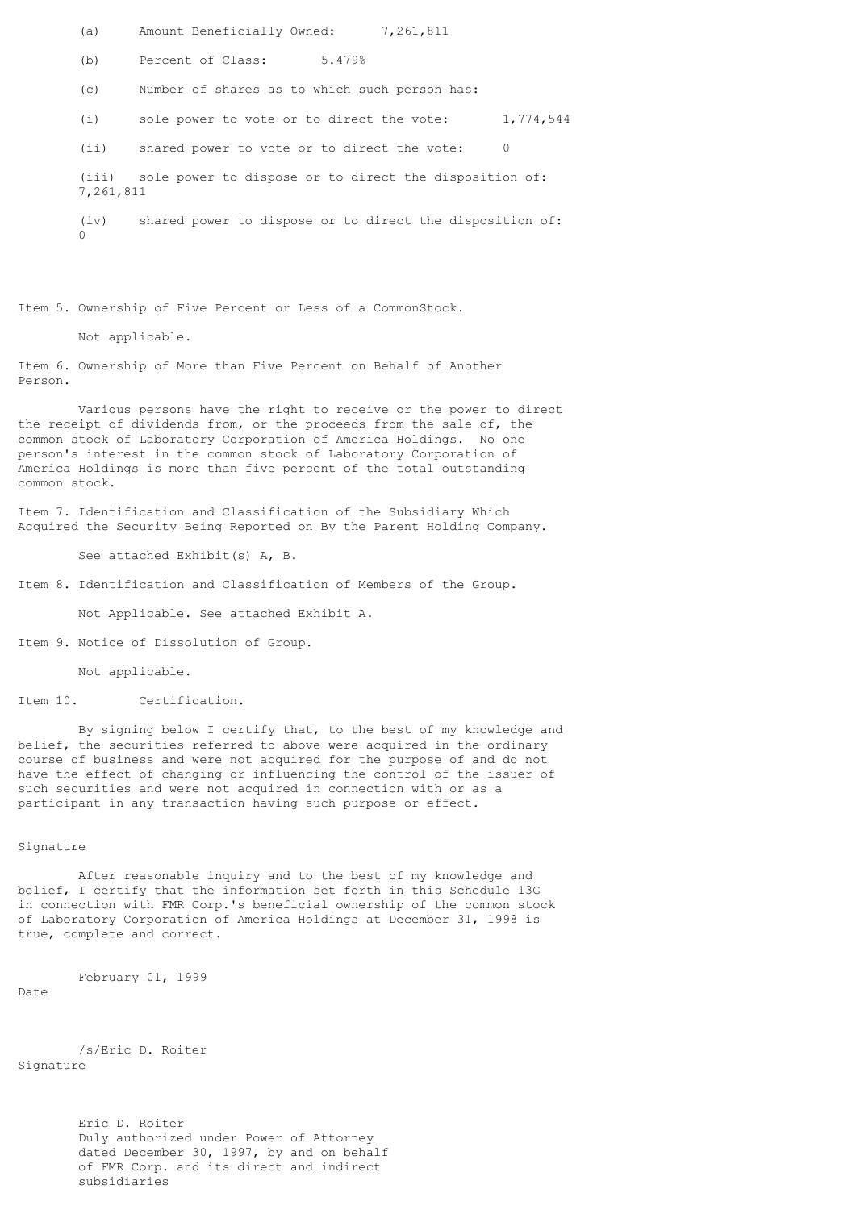(a) Amount Beneficially Owned: 7,261,811

(b) Percent of Class: 5.479%

(c) Number of shares as to which such person has:

(i) sole power to vote or to direct the vote: 1,774,544

(ii) shared power to vote or to direct the vote: 0

(iii) sole power to dispose or to direct the disposition of: 7,261,811

(iv) shared power to dispose or to direct the disposition of:  $\cap$ 

Item 5. Ownership of Five Percent or Less of a CommonStock.

Not applicable.

Item 6. Ownership of More than Five Percent on Behalf of Another Person.

Various persons have the right to receive or the power to direct the receipt of dividends from, or the proceeds from the sale of, the common stock of Laboratory Corporation of America Holdings. No one person's interest in the common stock of Laboratory Corporation of America Holdings is more than five percent of the total outstanding common stock.

Item 7. Identification and Classification of the Subsidiary Which Acquired the Security Being Reported on By the Parent Holding Company.

See attached Exhibit(s) A, B.

Item 8. Identification and Classification of Members of the Group.

Not Applicable. See attached Exhibit A.

Item 9. Notice of Dissolution of Group.

Not applicable.

Item 10. Certification.

By signing below I certify that, to the best of my knowledge and belief, the securities referred to above were acquired in the ordinary course of business and were not acquired for the purpose of and do not have the effect of changing or influencing the control of the issuer of such securities and were not acquired in connection with or as a participant in any transaction having such purpose or effect.

## Signature

After reasonable inquiry and to the best of my knowledge and belief, I certify that the information set forth in this Schedule 13G in connection with FMR Corp.'s beneficial ownership of the common stock of Laboratory Corporation of America Holdings at December 31, 1998 is true, complete and correct.

February 01, 1999

Date

/s/Eric D. Roiter Signature

> Eric D. Roiter Duly authorized under Power of Attorney dated December 30, 1997, by and on behalf of FMR Corp. and its direct and indirect subsidiaries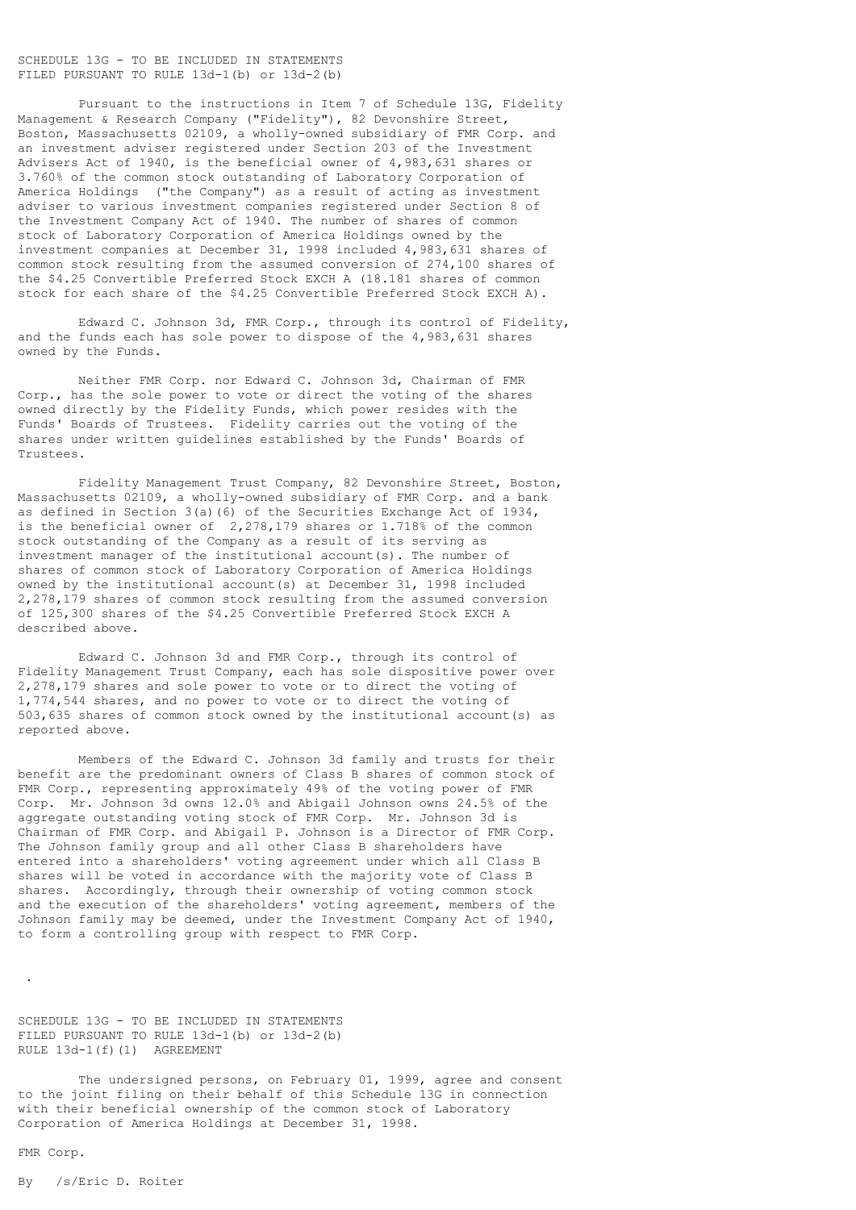## SCHEDULE 13G - TO BE INCLUDED IN STATEMENTS FILED PURSUANT TO RULE 13d-1(b) or 13d-2(b)

Pursuant to the instructions in Item 7 of Schedule 13G, Fidelity Management & Research Company ("Fidelity"), 82 Devonshire Street, Boston, Massachusetts 02109, a wholly-owned subsidiary of FMR Corp. and an investment adviser registered under Section 203 of the Investment Advisers Act of 1940, is the beneficial owner of 4,983,631 shares or 3.760% of the common stock outstanding of Laboratory Corporation of America Holdings ("the Company") as a result of acting as investment adviser to various investment companies registered under Section 8 of the Investment Company Act of 1940. The number of shares of common stock of Laboratory Corporation of America Holdings owned by the investment companies at December 31, 1998 included 4,983,631 shares of common stock resulting from the assumed conversion of 274,100 shares of the \$4.25 Convertible Preferred Stock EXCH A (18.181 shares of common stock for each share of the \$4.25 Convertible Preferred Stock EXCH A).

Edward C. Johnson 3d, FMR Corp., through its control of Fidelity, and the funds each has sole power to dispose of the 4,983,631 shares owned by the Funds.

Neither FMR Corp. nor Edward C. Johnson 3d, Chairman of FMR Corp., has the sole power to vote or direct the voting of the shares owned directly by the Fidelity Funds, which power resides with the Funds' Boards of Trustees. Fidelity carries out the voting of the shares under written guidelines established by the Funds' Boards of Trustees.

Fidelity Management Trust Company, 82 Devonshire Street, Boston, Massachusetts 02109, a wholly-owned subsidiary of FMR Corp. and a bank as defined in Section 3(a)(6) of the Securities Exchange Act of 1934, is the beneficial owner of 2,278,179 shares or 1.718% of the common stock outstanding of the Company as a result of its serving as investment manager of the institutional account(s). The number of shares of common stock of Laboratory Corporation of America Holdings owned by the institutional account(s) at December 31, 1998 included 2,278,179 shares of common stock resulting from the assumed conversion of 125,300 shares of the \$4.25 Convertible Preferred Stock EXCH A described above.

Edward C. Johnson 3d and FMR Corp., through its control of Fidelity Management Trust Company, each has sole dispositive power over 2,278,179 shares and sole power to vote or to direct the voting of 1,774,544 shares, and no power to vote or to direct the voting of 503,635 shares of common stock owned by the institutional account(s) as reported above.

Members of the Edward C. Johnson 3d family and trusts for their benefit are the predominant owners of Class B shares of common stock of FMR Corp., representing approximately 49% of the voting power of FMR Corp. Mr. Johnson 3d owns 12.0% and Abigail Johnson owns 24.5% of the aggregate outstanding voting stock of FMR Corp. Mr. Johnson 3d is Chairman of FMR Corp. and Abigail P. Johnson is a Director of FMR Corp. The Johnson family group and all other Class B shareholders have entered into a shareholders' voting agreement under which all Class B shares will be voted in accordance with the majority vote of Class B shares. Accordingly, through their ownership of voting common stock and the execution of the shareholders' voting agreement, members of the Johnson family may be deemed, under the Investment Company Act of 1940, to form a controlling group with respect to FMR Corp.

SCHEDULE 13G - TO BE INCLUDED IN STATEMENTS FILED PURSUANT TO RULE 13d-1(b) or 13d-2(b) RULE 13d-1(f)(1) AGREEMENT

The undersigned persons, on February 01, 1999, agree and consent to the joint filing on their behalf of this Schedule 13G in connection with their beneficial ownership of the common stock of Laboratory Corporation of America Holdings at December 31, 1998.

## FMR Corp.

.